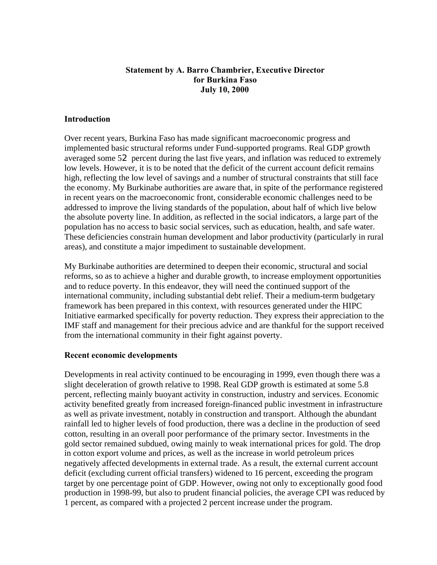### **Statement by A. Barro Chambrier, Executive Director for Burkina Faso July 10, 2000**

### **Introduction**

Over recent years, Burkina Faso has made significant macroeconomic progress and implemented basic structural reforms under Fund-supported programs. Real GDP growth averaged some 52 percent during the last five years, and inflation was reduced to extremely low levels. However, it is to be noted that the deficit of the current account deficit remains high, reflecting the low level of savings and a number of structural constraints that still face the economy. My Burkinabe authorities are aware that, in spite of the performance registered in recent years on the macroeconomic front, considerable economic challenges need to be addressed to improve the living standards of the population, about half of which live below the absolute poverty line. In addition, as reflected in the social indicators, a large part of the population has no access to basic social services, such as education, health, and safe water. These deficiencies constrain human development and labor productivity (particularly in rural areas), and constitute a major impediment to sustainable development.

My Burkinabe authorities are determined to deepen their economic, structural and social reforms, so as to achieve a higher and durable growth, to increase employment opportunities and to reduce poverty. In this endeavor, they will need the continued support of the international community, including substantial debt relief. Their a medium-term budgetary framework has been prepared in this context, with resources generated under the HIPC Initiative earmarked specifically for poverty reduction. They express their appreciation to the IMF staff and management for their precious advice and are thankful for the support received from the international community in their fight against poverty.

### **Recent economic developments**

Developments in real activity continued to be encouraging in 1999, even though there was a slight deceleration of growth relative to 1998. Real GDP growth is estimated at some 5.8 percent, reflecting mainly buoyant activity in construction, industry and services. Economic activity benefited greatly from increased foreign-financed public investment in infrastructure as well as private investment, notably in construction and transport. Although the abundant rainfall led to higher levels of food production, there was a decline in the production of seed cotton, resulting in an overall poor performance of the primary sector. Investments in the gold sector remained subdued, owing mainly to weak international prices for gold. The drop in cotton export volume and prices, as well as the increase in world petroleum prices negatively affected developments in external trade. As a result, the external current account deficit (excluding current official transfers) widened to 16 percent, exceeding the program target by one percentage point of GDP. However, owing not only to exceptionally good food production in 1998-99, but also to prudent financial policies, the average CPI was reduced by 1 percent, as compared with a projected 2 percent increase under the program.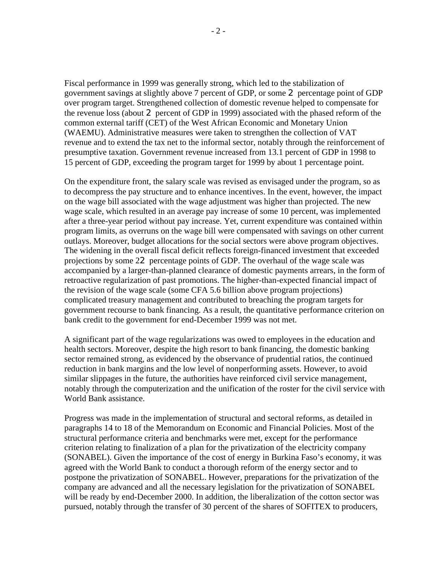Fiscal performance in 1999 was generally strong, which led to the stabilization of government savings at slightly above 7 percent of GDP, or some 2 percentage point of GDP over program target. Strengthened collection of domestic revenue helped to compensate for the revenue loss (about 2 percent of GDP in 1999) associated with the phased reform of the common external tariff (CET) of the West African Economic and Monetary Union (WAEMU). Administrative measures were taken to strengthen the collection of VAT revenue and to extend the tax net to the informal sector, notably through the reinforcement of presumptive taxation. Government revenue increased from 13.1 percent of GDP in 1998 to 15 percent of GDP, exceeding the program target for 1999 by about 1 percentage point.

On the expenditure front, the salary scale was revised as envisaged under the program, so as to decompress the pay structure and to enhance incentives. In the event, however, the impact on the wage bill associated with the wage adjustment was higher than projected. The new wage scale, which resulted in an average pay increase of some 10 percent, was implemented after a three-year period without pay increase. Yet, current expenditure was contained within program limits, as overruns on the wage bill were compensated with savings on other current outlays. Moreover, budget allocations for the social sectors were above program objectives. The widening in the overall fiscal deficit reflects foreign-financed investment that exceeded projections by some 22 percentage points of GDP. The overhaul of the wage scale was accompanied by a larger-than-planned clearance of domestic payments arrears, in the form of retroactive regularization of past promotions. The higher-than-expected financial impact of the revision of the wage scale (some CFA 5.6 billion above program projections) complicated treasury management and contributed to breaching the program targets for government recourse to bank financing. As a result, the quantitative performance criterion on bank credit to the government for end-December 1999 was not met.

A significant part of the wage regularizations was owed to employees in the education and health sectors. Moreover, despite the high resort to bank financing, the domestic banking sector remained strong, as evidenced by the observance of prudential ratios, the continued reduction in bank margins and the low level of nonperforming assets. However, to avoid similar slippages in the future, the authorities have reinforced civil service management, notably through the computerization and the unification of the roster for the civil service with World Bank assistance.

Progress was made in the implementation of structural and sectoral reforms, as detailed in paragraphs 14 to 18 of the Memorandum on Economic and Financial Policies. Most of the structural performance criteria and benchmarks were met, except for the performance criterion relating to finalization of a plan for the privatization of the electricity company (SONABEL). Given the importance of the cost of energy in Burkina Faso's economy, it was agreed with the World Bank to conduct a thorough reform of the energy sector and to postpone the privatization of SONABEL. However, preparations for the privatization of the company are advanced and all the necessary legislation for the privatization of SONABEL will be ready by end-December 2000. In addition, the liberalization of the cotton sector was pursued, notably through the transfer of 30 percent of the shares of SOFITEX to producers,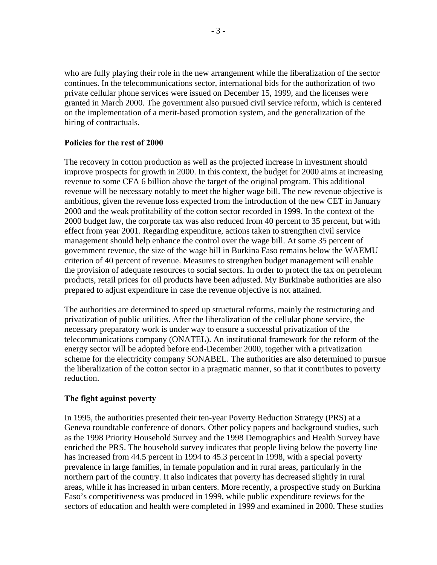who are fully playing their role in the new arrangement while the liberalization of the sector continues. In the telecommunications sector, international bids for the authorization of two private cellular phone services were issued on December 15, 1999, and the licenses were granted in March 2000. The government also pursued civil service reform, which is centered on the implementation of a merit-based promotion system, and the generalization of the hiring of contractuals.

### **Policies for the rest of 2000**

The recovery in cotton production as well as the projected increase in investment should improve prospects for growth in 2000. In this context, the budget for 2000 aims at increasing revenue to some CFA 6 billion above the target of the original program. This additional revenue will be necessary notably to meet the higher wage bill. The new revenue objective is ambitious, given the revenue loss expected from the introduction of the new CET in January 2000 and the weak profitability of the cotton sector recorded in 1999. In the context of the 2000 budget law, the corporate tax was also reduced from 40 percent to 35 percent, but with effect from year 2001. Regarding expenditure, actions taken to strengthen civil service management should help enhance the control over the wage bill. At some 35 percent of government revenue, the size of the wage bill in Burkina Faso remains below the WAEMU criterion of 40 percent of revenue. Measures to strengthen budget management will enable the provision of adequate resources to social sectors. In order to protect the tax on petroleum products, retail prices for oil products have been adjusted. My Burkinabe authorities are also prepared to adjust expenditure in case the revenue objective is not attained.

The authorities are determined to speed up structural reforms, mainly the restructuring and privatization of public utilities. After the liberalization of the cellular phone service, the necessary preparatory work is under way to ensure a successful privatization of the telecommunications company (ONATEL). An institutional framework for the reform of the energy sector will be adopted before end-December 2000, together with a privatization scheme for the electricity company SONABEL. The authorities are also determined to pursue the liberalization of the cotton sector in a pragmatic manner, so that it contributes to poverty reduction.

# **The fight against poverty**

In 1995, the authorities presented their ten-year Poverty Reduction Strategy (PRS) at a Geneva roundtable conference of donors. Other policy papers and background studies, such as the 1998 Priority Household Survey and the 1998 Demographics and Health Survey have enriched the PRS. The household survey indicates that people living below the poverty line has increased from 44.5 percent in 1994 to 45.3 percent in 1998, with a special poverty prevalence in large families, in female population and in rural areas, particularly in the northern part of the country. It also indicates that poverty has decreased slightly in rural areas, while it has increased in urban centers. More recently, a prospective study on Burkina Faso's competitiveness was produced in 1999, while public expenditure reviews for the sectors of education and health were completed in 1999 and examined in 2000. These studies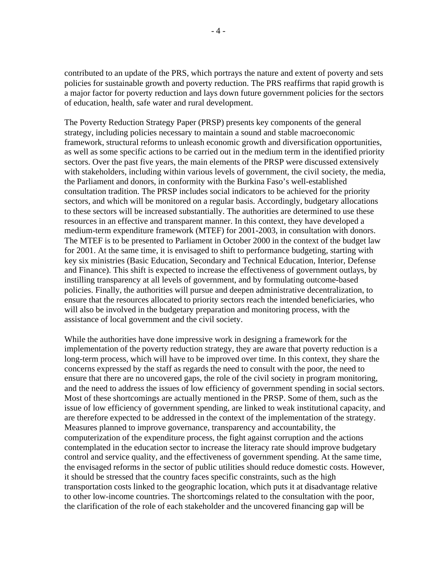contributed to an update of the PRS, which portrays the nature and extent of poverty and sets policies for sustainable growth and poverty reduction. The PRS reaffirms that rapid growth is a major factor for poverty reduction and lays down future government policies for the sectors of education, health, safe water and rural development.

The Poverty Reduction Strategy Paper (PRSP) presents key components of the general strategy, including policies necessary to maintain a sound and stable macroeconomic framework, structural reforms to unleash economic growth and diversification opportunities, as well as some specific actions to be carried out in the medium term in the identified priority sectors. Over the past five years, the main elements of the PRSP were discussed extensively with stakeholders, including within various levels of government, the civil society, the media, the Parliament and donors, in conformity with the Burkina Faso's well-established consultation tradition. The PRSP includes social indicators to be achieved for the priority sectors, and which will be monitored on a regular basis. Accordingly, budgetary allocations to these sectors will be increased substantially. The authorities are determined to use these resources in an effective and transparent manner. In this context, they have developed a medium-term expenditure framework (MTEF) for 2001-2003, in consultation with donors. The MTEF is to be presented to Parliament in October 2000 in the context of the budget law for 2001. At the same time, it is envisaged to shift to performance budgeting, starting with key six ministries (Basic Education, Secondary and Technical Education, Interior, Defense and Finance). This shift is expected to increase the effectiveness of government outlays, by instilling transparency at all levels of government, and by formulating outcome-based policies. Finally, the authorities will pursue and deepen administrative decentralization, to ensure that the resources allocated to priority sectors reach the intended beneficiaries, who will also be involved in the budgetary preparation and monitoring process, with the assistance of local government and the civil society.

While the authorities have done impressive work in designing a framework for the implementation of the poverty reduction strategy, they are aware that poverty reduction is a long-term process, which will have to be improved over time. In this context, they share the concerns expressed by the staff as regards the need to consult with the poor, the need to ensure that there are no uncovered gaps, the role of the civil society in program monitoring, and the need to address the issues of low efficiency of government spending in social sectors. Most of these shortcomings are actually mentioned in the PRSP. Some of them, such as the issue of low efficiency of government spending, are linked to weak institutional capacity, and are therefore expected to be addressed in the context of the implementation of the strategy. Measures planned to improve governance, transparency and accountability, the computerization of the expenditure process, the fight against corruption and the actions contemplated in the education sector to increase the literacy rate should improve budgetary control and service quality, and the effectiveness of government spending. At the same time, the envisaged reforms in the sector of public utilities should reduce domestic costs. However, it should be stressed that the country faces specific constraints, such as the high transportation costs linked to the geographic location, which puts it at disadvantage relative to other low-income countries. The shortcomings related to the consultation with the poor, the clarification of the role of each stakeholder and the uncovered financing gap will be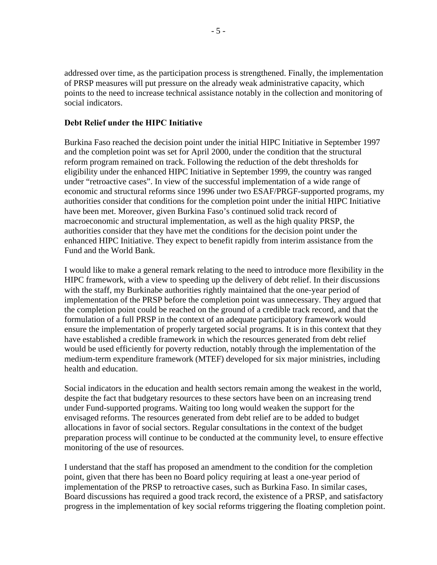addressed over time, as the participation process is strengthened. Finally, the implementation of PRSP measures will put pressure on the already weak administrative capacity, which points to the need to increase technical assistance notably in the collection and monitoring of social indicators.

#### **Debt Relief under the HIPC Initiative**

Burkina Faso reached the decision point under the initial HIPC Initiative in September 1997 and the completion point was set for April 2000, under the condition that the structural reform program remained on track. Following the reduction of the debt thresholds for eligibility under the enhanced HIPC Initiative in September 1999, the country was ranged under "retroactive cases". In view of the successful implementation of a wide range of economic and structural reforms since 1996 under two ESAF/PRGF-supported programs, my authorities consider that conditions for the completion point under the initial HIPC Initiative have been met. Moreover, given Burkina Faso's continued solid track record of macroeconomic and structural implementation, as well as the high quality PRSP, the authorities consider that they have met the conditions for the decision point under the enhanced HIPC Initiative. They expect to benefit rapidly from interim assistance from the Fund and the World Bank.

I would like to make a general remark relating to the need to introduce more flexibility in the HIPC framework, with a view to speeding up the delivery of debt relief. In their discussions with the staff, my Burkinabe authorities rightly maintained that the one-year period of implementation of the PRSP before the completion point was unnecessary. They argued that the completion point could be reached on the ground of a credible track record, and that the formulation of a full PRSP in the context of an adequate participatory framework would ensure the implementation of properly targeted social programs. It is in this context that they have established a credible framework in which the resources generated from debt relief would be used efficiently for poverty reduction, notably through the implementation of the medium-term expenditure framework (MTEF) developed for six major ministries, including health and education.

Social indicators in the education and health sectors remain among the weakest in the world, despite the fact that budgetary resources to these sectors have been on an increasing trend under Fund-supported programs. Waiting too long would weaken the support for the envisaged reforms. The resources generated from debt relief are to be added to budget allocations in favor of social sectors. Regular consultations in the context of the budget preparation process will continue to be conducted at the community level, to ensure effective monitoring of the use of resources.

I understand that the staff has proposed an amendment to the condition for the completion point, given that there has been no Board policy requiring at least a one-year period of implementation of the PRSP to retroactive cases, such as Burkina Faso. In similar cases, Board discussions has required a good track record, the existence of a PRSP, and satisfactory progress in the implementation of key social reforms triggering the floating completion point.